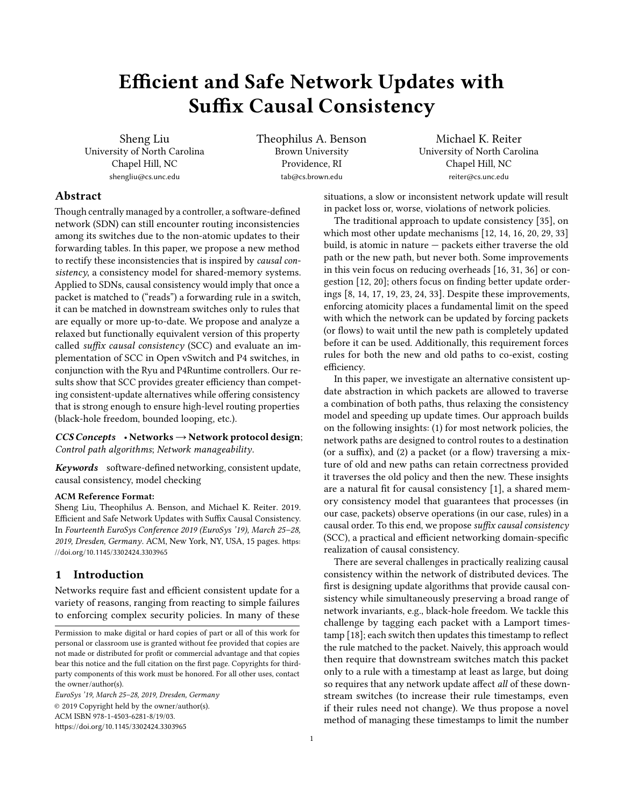# Efficient and Safe Network Updates with Suffix Causal Consistency

Sheng Liu University of North Carolina Chapel Hill, NC shengliu@cs.unc.edu

Theophilus A. Benson Brown University Providence, RI tab@cs.brown.edu

Michael K. Reiter University of North Carolina Chapel Hill, NC reiter@cs.unc.edu

# Abstract

Though centrally managed by a controller, a software-defined network (SDN) can still encounter routing inconsistencies among its switches due to the non-atomic updates to their forwarding tables. In this paper, we propose a new method to rectify these inconsistencies that is inspired by causal consistency, a consistency model for shared-memory systems. Applied to SDNs, causal consistency would imply that once a packet is matched to ("reads") a forwarding rule in a switch, it can be matched in downstream switches only to rules that are equally or more up-to-date. We propose and analyze a relaxed but functionally equivalent version of this property called suffix causal consistency (SCC) and evaluate an implementation of SCC in Open vSwitch and P4 switches, in conjunction with the Ryu and P4Runtime controllers. Our results show that SCC provides greater efficiency than competing consistent-update alternatives while offering consistency that is strong enough to ensure high-level routing properties (black-hole freedom, bounded looping, etc.).

 $CCS$  Concepts • Networks  $\rightarrow$  Network protocol design; Control path algorithms; Network manageability.

Keywords software-defined networking, consistent update, causal consistency, model checking

#### ACM Reference Format:

Sheng Liu, Theophilus A. Benson, and Michael K. Reiter. 2019. Efficient and Safe Network Updates with Suffix Causal Consistency. In Fourteenth EuroSys Conference 2019 (EuroSys '19), March 25–28, 2019, Dresden, Germany. ACM, New York, NY, USA, [15](#page-14-0) pages. [https:](https://doi.org/10.1145/3302424.3303965) [//doi.org/10.1145/3302424.3303965](https://doi.org/10.1145/3302424.3303965)

# 1 Introduction

Networks require fast and efficient consistent update for a variety of reasons, ranging from reacting to simple failures to enforcing complex security policies. In many of these

EuroSys '19, March 25–28, 2019, Dresden, Germany © 2019 Copyright held by the owner/author(s). ACM ISBN 978-1-4503-6281-8/19/03. <https://doi.org/10.1145/3302424.3303965>

situations, a slow or inconsistent network update will result in packet loss or, worse, violations of network policies.

The traditional approach to update consistency [\[35\]](#page-14-1), on which most other update mechanisms [\[12,](#page-13-0) [14,](#page-13-1) [16,](#page-14-2) [20,](#page-14-3) [29,](#page-14-4) [33\]](#page-14-5) build, is atomic in nature — packets either traverse the old path or the new path, but never both. Some improvements in this vein focus on reducing overheads [\[16,](#page-14-2) [31,](#page-14-6) [36\]](#page-14-7) or congestion [\[12,](#page-13-0) [20\]](#page-14-3); others focus on finding better update orderings [\[8,](#page-13-2) [14,](#page-13-1) [17,](#page-14-8) [19,](#page-14-9) [23,](#page-14-10) [24,](#page-14-11) [33\]](#page-14-5). Despite these improvements, enforcing atomicity places a fundamental limit on the speed with which the network can be updated by forcing packets (or flows) to wait until the new path is completely updated before it can be used. Additionally, this requirement forces rules for both the new and old paths to co-exist, costing efficiency.

In this paper, we investigate an alternative consistent update abstraction in which packets are allowed to traverse a combination of both paths, thus relaxing the consistency model and speeding up update times. Our approach builds on the following insights: (1) for most network policies, the network paths are designed to control routes to a destination (or a suffix), and (2) a packet (or a flow) traversing a mixture of old and new paths can retain correctness provided it traverses the old policy and then the new. These insights are a natural fit for causal consistency [\[1\]](#page-13-3), a shared memory consistency model that guarantees that processes (in our case, packets) observe operations (in our case, rules) in a causal order. To this end, we propose suffix causal consistency (SCC), a practical and efficient networking domain-specific realization of causal consistency.

There are several challenges in practically realizing causal consistency within the network of distributed devices. The first is designing update algorithms that provide causal consistency while simultaneously preserving a broad range of network invariants, e.g., black-hole freedom. We tackle this challenge by tagging each packet with a Lamport timestamp [\[18\]](#page-14-12); each switch then updates this timestamp to reflect the rule matched to the packet. Naively, this approach would then require that downstream switches match this packet only to a rule with a timestamp at least as large, but doing so requires that any network update affect all of these downstream switches (to increase their rule timestamps, even if their rules need not change). We thus propose a novel method of managing these timestamps to limit the number

Permission to make digital or hard copies of part or all of this work for personal or classroom use is granted without fee provided that copies are not made or distributed for profit or commercial advantage and that copies bear this notice and the full citation on the first page. Copyrights for thirdparty components of this work must be honored. For all other uses, contact the owner/author(s).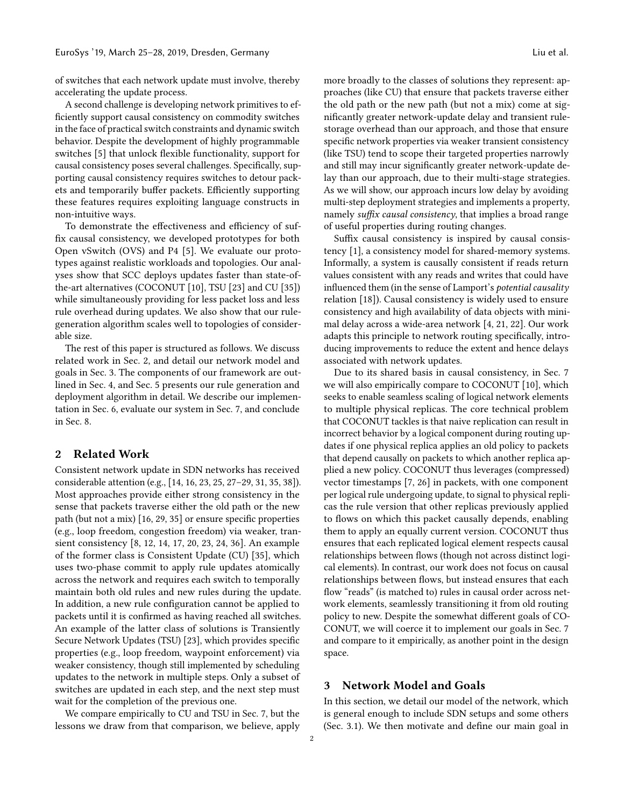of switches that each network update must involve, thereby accelerating the update process.

A second challenge is developing network primitives to efficiently support causal consistency on commodity switches in the face of practical switch constraints and dynamic switch behavior. Despite the development of highly programmable switches [\[5\]](#page-13-4) that unlock flexible functionality, support for causal consistency poses several challenges. Specifically, supporting causal consistency requires switches to detour packets and temporarily buffer packets. Efficiently supporting these features requires exploiting language constructs in non-intuitive ways.

To demonstrate the effectiveness and efficiency of suffix causal consistency, we developed prototypes for both Open vSwitch (OVS) and P4 [\[5\]](#page-13-4). We evaluate our prototypes against realistic workloads and topologies. Our analyses show that SCC deploys updates faster than state-ofthe-art alternatives (COCONUT [\[10\]](#page-13-5), TSU [\[23\]](#page-14-10) and CU [\[35\]](#page-14-1)) while simultaneously providing for less packet loss and less rule overhead during updates. We also show that our rulegeneration algorithm scales well to topologies of considerable size.

The rest of this paper is structured as follows. We discuss related work in Sec. [2,](#page-1-0) and detail our network model and goals in Sec. [3.](#page-1-1) The components of our framework are outlined in Sec. [4,](#page-3-0) and Sec. [5](#page-3-1) presents our rule generation and deployment algorithm in detail. We describe our implementation in Sec. [6,](#page-8-0) evaluate our system in Sec. [7,](#page-9-0) and conclude in Sec. [8.](#page-13-6)

## <span id="page-1-0"></span>2 Related Work

Consistent network update in SDN networks has received considerable attention (e.g., [\[14,](#page-13-1) [16,](#page-14-2) [23,](#page-14-10) [25,](#page-14-13) [27–](#page-14-14)[29,](#page-14-4) [31,](#page-14-6) [35,](#page-14-1) [38\]](#page-14-15)). Most approaches provide either strong consistency in the sense that packets traverse either the old path or the new path (but not a mix) [\[16,](#page-14-2) [29,](#page-14-4) [35\]](#page-14-1) or ensure specific properties (e.g., loop freedom, congestion freedom) via weaker, transient consistency [\[8,](#page-13-2) [12,](#page-13-0) [14,](#page-13-1) [17,](#page-14-8) [20,](#page-14-3) [23,](#page-14-10) [24,](#page-14-11) [36\]](#page-14-7). An example of the former class is Consistent Update (CU) [\[35\]](#page-14-1), which uses two-phase commit to apply rule updates atomically across the network and requires each switch to temporally maintain both old rules and new rules during the update. In addition, a new rule configuration cannot be applied to packets until it is confirmed as having reached all switches. An example of the latter class of solutions is Transiently Secure Network Updates (TSU) [\[23\]](#page-14-10), which provides specific properties (e.g., loop freedom, waypoint enforcement) via weaker consistency, though still implemented by scheduling updates to the network in multiple steps. Only a subset of switches are updated in each step, and the next step must wait for the completion of the previous one.

We compare empirically to CU and TSU in Sec. [7,](#page-9-0) but the lessons we draw from that comparison, we believe, apply more broadly to the classes of solutions they represent: approaches (like CU) that ensure that packets traverse either the old path or the new path (but not a mix) come at significantly greater network-update delay and transient rulestorage overhead than our approach, and those that ensure specific network properties via weaker transient consistency (like TSU) tend to scope their targeted properties narrowly and still may incur significantly greater network-update delay than our approach, due to their multi-stage strategies. As we will show, our approach incurs low delay by avoiding multi-step deployment strategies and implements a property, namely *suffix causal consistency*, that implies a broad range of useful properties during routing changes.

Suffix causal consistency is inspired by causal consistency [\[1\]](#page-13-3), a consistency model for shared-memory systems. Informally, a system is causally consistent if reads return values consistent with any reads and writes that could have influenced them (in the sense of Lamport's potential causality relation [\[18\]](#page-14-12)). Causal consistency is widely used to ensure consistency and high availability of data objects with minimal delay across a wide-area network [\[4,](#page-13-7) [21,](#page-14-16) [22\]](#page-14-17). Our work adapts this principle to network routing specifically, introducing improvements to reduce the extent and hence delays associated with network updates.

Due to its shared basis in causal consistency, in Sec. [7](#page-9-0) we will also empirically compare to COCONUT [\[10\]](#page-13-5), which seeks to enable seamless scaling of logical network elements to multiple physical replicas. The core technical problem that COCONUT tackles is that naive replication can result in incorrect behavior by a logical component during routing updates if one physical replica applies an old policy to packets that depend causally on packets to which another replica applied a new policy. COCONUT thus leverages (compressed) vector timestamps [\[7,](#page-13-8) [26\]](#page-14-18) in packets, with one component per logical rule undergoing update, to signal to physical replicas the rule version that other replicas previously applied to flows on which this packet causally depends, enabling them to apply an equally current version. COCONUT thus ensures that each replicated logical element respects causal relationships between flows (though not across distinct logical elements). In contrast, our work does not focus on causal relationships between flows, but instead ensures that each flow "reads" (is matched to) rules in causal order across network elements, seamlessly transitioning it from old routing policy to new. Despite the somewhat different goals of CO-CONUT, we will coerce it to implement our goals in Sec. [7](#page-9-0) and compare to it empirically, as another point in the design space.

# <span id="page-1-1"></span>3 Network Model and Goals

In this section, we detail our model of the network, which is general enough to include SDN setups and some others (Sec. [3.1\)](#page-2-0). We then motivate and define our main goal in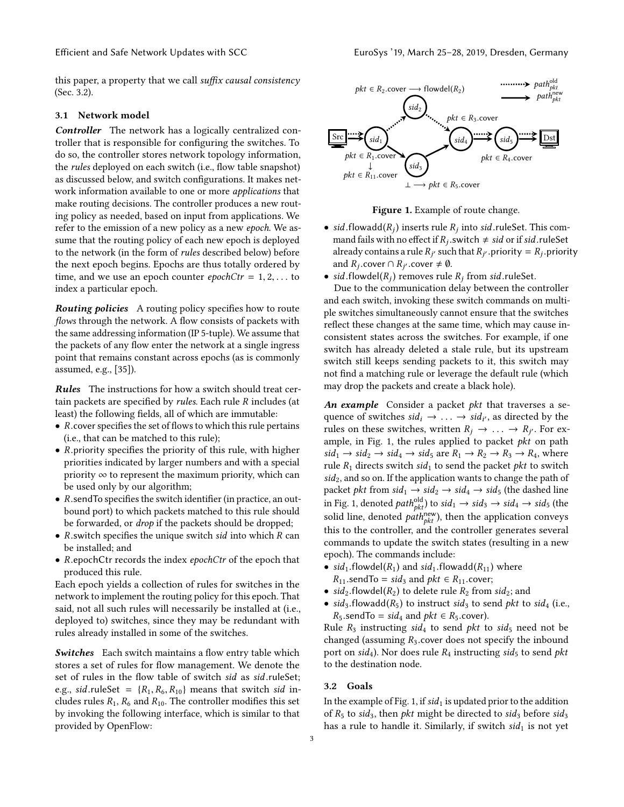this paper, a property that we call suffix causal consistency (Sec. [3.2\)](#page-2-1).

#### <span id="page-2-0"></span>3.1 Network model

Controller The network has a logically centralized controller that is responsible for configuring the switches. To do so, the controller stores network topology information, the rules deployed on each switch (i.e., flow table snapshot) as discussed below, and switch configurations. It makes network information available to one or more applications that make routing decisions. The controller produces a new routing policy as needed, based on input from applications. We refer to the emission of a new policy as a new epoch. We assume that the routing policy of each new epoch is deployed to the network (in the form of rules described below) before the next epoch begins. Epochs are thus totally ordered by time, and we use an epoch counter  $epochCtr = 1, 2, \ldots$  to index a particular epoch.

Routing policies A routing policy specifies how to route flows through the network. A flow consists of packets with the same addressing information (IP 5-tuple). We assume that the packets of any flow enter the network at a single ingress point that remains constant across epochs (as is commonly assumed, e.g., [\[35\]](#page-14-1)).

Rules The instructions for how a switch should treat certain packets are specified by rules. Each rule R includes (at least) the following fields, all of which are immutable:

- $R$ .cover specifies the set of flows to which this rule pertains (i.e., that can be matched to this rule);
- $R$ . priority specifies the priority of this rule, with higher priorities indicated by larger numbers and with a special priority  $\infty$  to represent the maximum priority, which can be used only by our algorithm;
- <sup>R</sup>.sendTo specifies the switch identifier (in practice, an outbound port) to which packets matched to this rule should be forwarded, or drop if the packets should be dropped;
- $\bullet$  R.switch specifies the unique switch sid into which R can be installed; and
- <sup>R</sup>.epochCtr records the index epochCtr of the epoch that produced this rule.

Each epoch yields a collection of rules for switches in the network to implement the routing policy for this epoch. That said, not all such rules will necessarily be installed at (i.e., deployed to) switches, since they may be redundant with rules already installed in some of the switches.

Switches Each switch maintains a flow entry table which stores a set of rules for flow management. We denote the set of rules in the flow table of switch sid as sid.ruleSet; e.g., sid.ruleSet =  $\{R_1, R_6, R_{10}\}$  means that switch sid includes rules  $R_1$ ,  $R_6$  and  $R_{10}$ . The controller modifies this set by invoking the following interface, which is similar to that provided by OpenFlow:

<span id="page-2-2"></span>

Figure 1. Example of route change.

• sid.flowadd( $R_j$ ) inserts rule  $R_j$  into sid.ruleSet. This com-<br>mand fails with no effect if  $R_j$ , switch  $\neq$  sid or if sid.ruleSet. mand fails with no effect if  $R_j$ , switch  $\neq$  *sid* or if *sid*, ruleSet already contains a rule  $R_{\text{u}}$  such that  $R_{\text{u}}$  priority  $-R$ , priority already contains a rule  $R_{j'}$  such that  $R_{j'}$  priority =  $R_j$  priority<br>and  $R_j$  cover  $\bigcirc R_{j'}$  cover  $\neq \emptyset$ and  $R_j$  cover  $\cap$   $R_{j'}$  cover  $\neq$  0.<br>sid flowdel(R) removes rule

• sid.flowdel( $R_j$ ) removes rule  $R_j$  from sid.ruleSet.<br>Due to the communication delay between the co

Due to the communication delay between the controller and each switch, invoking these switch commands on multiple switches simultaneously cannot ensure that the switches reflect these changes at the same time, which may cause inconsistent states across the switches. For example, if one switch has already deleted a stale rule, but its upstream switch still keeps sending packets to it, this switch may not find a matching rule or leverage the default rule (which may drop the packets and create a black hole).

An example Consider a packet  *that traverses a se*quence of switches  $sid_i \rightarrow \ldots \rightarrow sid_{i'}$ , as directed by the rules on these switches written  $R_i \rightarrow \ldots \rightarrow R_{i'}$ . For exrules on these switches, written  $R_j \rightarrow \ldots \rightarrow R_{j'}$ . For ex-<br>ample, in Fig. 1, the rules applied to packet *nkt* on path ample, in Fig. [1,](#page-2-2) the rules applied to packet  $pkt$  on path  $sid_1 \rightarrow sid_2 \rightarrow sid_4 \rightarrow sid_5$  are  $R_1 \rightarrow R_2 \rightarrow R_3 \rightarrow R_4$ , where rule  $R_1$  directs switch sid<sub>1</sub> to send the packet pkt to switch  $sid<sub>2</sub>$ , and so on. If the application wants to change the path of packet *pkt* from  $sid_1 \rightarrow sid_2 \rightarrow sid_4 \rightarrow sid_5$  (the dashed line in Fig. [1,](#page-2-2) denoted  $path_{pkt}^{\text{old}})$  to  $sid_1 \rightarrow sid_3 \rightarrow sid_4 \rightarrow sid_5$  (the solid line, denoted  $path_{pkt}^{\text{new}}$ ), then the application conveys this to the controller, and the controller generates several commands to update the switch states (resulting in a new epoch). The commands include:

- sid<sub>1</sub>.flowdel( $R_1$ ) and sid<sub>1</sub>.flowadd( $R_{11}$ ) where
- $R_{11}$ .sendTo = sid<sub>3</sub> and pkt  $\in R_{11}$ .cover;
- sid<sub>2</sub>.flowdel( $R_2$ ) to delete rule  $R_2$  from sid<sub>2</sub>; and
- sid<sub>3</sub>.flowadd( $R_5$ ) to instruct sid<sub>3</sub> to send pkt to sid<sub>4</sub> (i.e.,  $R_5$ .sendTo = sid<sub>4</sub> and  $pkt \in R_5$ .cover).

Rule  $R_3$  instructing sid<sub>4</sub> to send pkt to sid<sub>5</sub> need not be changed (assuming  $R_3$  cover does not specify the inbound port on sid<sub>4</sub>). Nor does rule  $R_4$  instructing sid<sub>5</sub> to send *pkt* to the destination node.

#### <span id="page-2-1"></span>3.2 Goals

In the example of Fig. [1,](#page-2-2) if  $sid_1$  is updated prior to the addition of  $R_5$  to sid<sub>3</sub>, then *pkt* might be directed to sid<sub>3</sub> before sid<sub>3</sub> has a rule to handle it. Similarly, if switch  $sid_1$  is not yet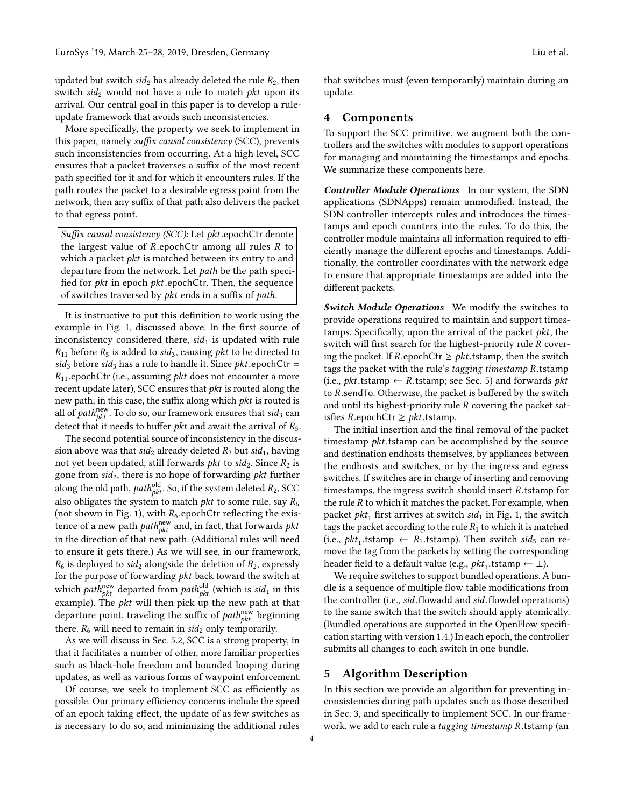updated but switch  $sid_2$  has already deleted the rule  $R_2$ , then switch  $sid_2$  would not have a rule to match pkt upon its arrival. Our central goal in this paper is to develop a ruleupdate framework that avoids such inconsistencies.

More specifically, the property we seek to implement in this paper, namely suffix causal consistency (SCC), prevents such inconsistencies from occurring. At a high level, SCC ensures that a packet traverses a suffix of the most recent path specified for it and for which it encounters rules. If the path routes the packet to a desirable egress point from the network, then any suffix of that path also delivers the packet to that egress point.

Suffix causal consistency (SCC): Let pkt.epochCtr denote the largest value of  $R$ .epochCtr among all rules  $R$  to which a packet  $pkt$  is matched between its entry to and departure from the network. Let path be the path specified for *pkt* in epoch *pkt*.epochCtr. Then, the sequence of switches traversed by pkt ends in a suffix of path.

It is instructive to put this definition to work using the example in Fig. [1,](#page-2-2) discussed above. In the first source of inconsistency considered there,  $sid_1$  is updated with rule  $R_{11}$  before  $R_5$  is added to sid<sub>3</sub>, causing *pkt* to be directed to sid<sub>3</sub> before sid<sub>3</sub> has a rule to handle it. Since *pkt* epochCtr =  $R_{11}$ .epochCtr (i.e., assuming *pkt* does not encounter a more recent update later), SCC ensures that  *is routed along the* new path; in this case, the suffix along which pkt is routed is all of  $path_{\rho kt}^{\text{new}}$ . To do so, our framework ensures that  $sid_3$  can detect that it needs to buffer *pkt* and await the arrival of  $R_5$ .

The second potential source of inconsistency in the discussion above was that  $sid_2$  already deleted  $R_2$  but  $sid_1$ , having not yet been updated, still forwards *pkt* to  $sid_2$ . Since  $R_2$  is gone from  $sid_2$ , there is no hope of forwarding  $pkt$  further along the old path,  $path_{pkt}^{old}$ . So, if the system deleted  $R_2$ , SCC also obligates the system to match *pkt* to some rule, say  $R_6$ (not shown in Fig. [1\)](#page-2-2), with  $R_6$  epochCtr reflecting the existence of a new path  $path_{pkt}^{new}$  and, in fact, that forwards  $pkt$ in the direction of that new path. (Additional rules will need to ensure it gets there.) As we will see, in our framework,  $R_6$  is deployed to sid<sub>2</sub> alongside the deletion of  $R_2$ , expressly for the purpose of forwarding pkt back toward the switch at which  $\textit{path}_{\textit{plt}}^{\textit{new}}$  departed from  $\textit{path}_{\textit{plt}}^{\textit{old}}$  (which is  $\textit{sid}_1$  in this example). The  $pkt$  will then pick up the new path at that departure point, traveling the suffix of  $\textit{path}_{\textit{plt}}^{\textit{new}}$  beginning there.  $R_6$  will need to remain in  $sid_2$  only temporarily.

As we will discuss in Sec. [5.2,](#page-7-0) SCC is a strong property, in that it facilitates a number of other, more familiar properties such as black-hole freedom and bounded looping during updates, as well as various forms of waypoint enforcement.

Of course, we seek to implement SCC as efficiently as possible. Our primary efficiency concerns include the speed of an epoch taking effect, the update of as few switches as is necessary to do so, and minimizing the additional rules

that switches must (even temporarily) maintain during an update.

# <span id="page-3-0"></span>4 Components

To support the SCC primitive, we augment both the controllers and the switches with modules to support operations for managing and maintaining the timestamps and epochs. We summarize these components here.

Controller Module Operations In our system, the SDN applications (SDNApps) remain unmodified. Instead, the SDN controller intercepts rules and introduces the timestamps and epoch counters into the rules. To do this, the controller module maintains all information required to efficiently manage the different epochs and timestamps. Additionally, the controller coordinates with the network edge to ensure that appropriate timestamps are added into the different packets.

Switch Module Operations We modify the switches to provide operations required to maintain and support timestamps. Specifically, upon the arrival of the packet  $pkt$ , the switch will first search for the highest-priority rule R covering the packet. If R.epochCtr  $\geq$  *pkt*.tstamp, then the switch tags the packet with the rule's tagging timestamp <sup>R</sup>.tstamp (i.e.,  $pkt$ .tstamp  $\leftarrow$  R.tstamp; see Sec. [5\)](#page-3-1) and forwards  $pkt$ to <sup>R</sup>.sendTo. Otherwise, the packet is buffered by the switch and until its highest-priority rule R covering the packet satisfies R.epochCtr  $\geq$  *pkt*.tstamp.

The initial insertion and the final removal of the packet timestamp *pkt*.tstamp can be accomplished by the source and destination endhosts themselves, by appliances between the endhosts and switches, or by the ingress and egress switches. If switches are in charge of inserting and removing timestamps, the ingress switch should insert <sup>R</sup>.tstamp for the rule  $R$  to which it matches the packet. For example, when packet  $pkt_1$  first arrives at switch sid<sub>1</sub> in Fig. [1,](#page-2-2) the switch tags the packet according to the rule  $R_1$  to which it is matched (i.e.,  $pk_1$ .tstamp  $\leftarrow R_1$ .tstamp). Then switch  $sid_5$  can re-<br>move the tag from the packets by setting the corresponding move the tag from the packets by setting the corresponding header field to a default value (e.g.,  $pkt_1$ .tstamp ← ⊥).<br>We require switches to support bundled operations.

We require switches to support bundled operations. A bundle is a sequence of multiple flow table modifications from the controller (i.e., sid.flowadd and sid.flowdel operations) to the same switch that the switch should apply atomically. (Bundled operations are supported in the OpenFlow specification starting with version 1.4.) In each epoch, the controller submits all changes to each switch in one bundle.

# <span id="page-3-1"></span>5 Algorithm Description

In this section we provide an algorithm for preventing inconsistencies during path updates such as those described in Sec. [3,](#page-1-1) and specifically to implement SCC. In our framework, we add to each rule a tagging timestamp <sup>R</sup>.tstamp (an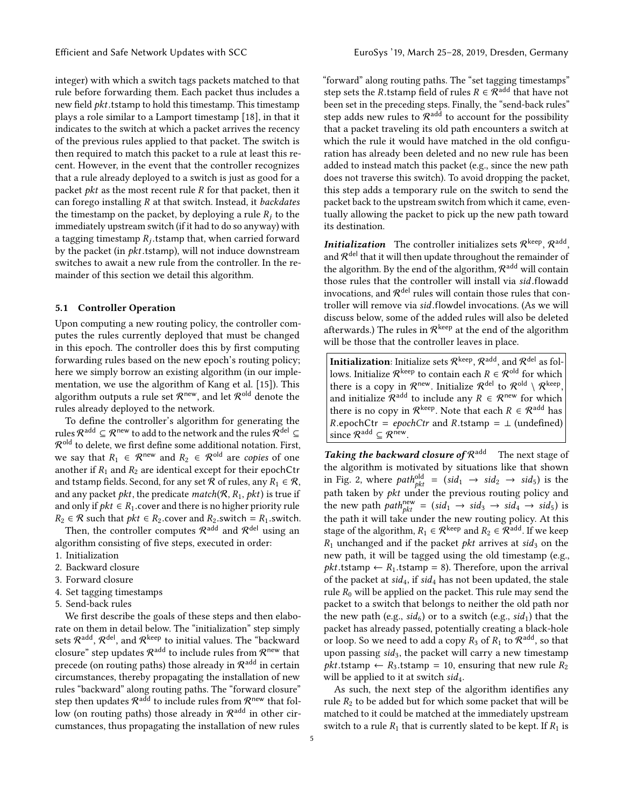integer) with which a switch tags packets matched to that rule before forwarding them. Each packet thus includes a new field *pkt*.tstamp to hold this timestamp. This timestamp plays a role similar to a Lamport timestamp [\[18\]](#page-14-12), in that it indicates to the switch at which a packet arrives the recency of the previous rules applied to that packet. The switch is then required to match this packet to a rule at least this recent. However, in the event that the controller recognizes that a rule already deployed to a switch is just as good for a packet *pkt* as the most recent rule  $R$  for that packet, then it can forego installing  $R$  at that switch. Instead, it *backdates* the timestamp on the packet, by deploying a rule  $R_i$  to the immediately upstream switch (if it had to do so anyway) with a tagging timestamp  $R_j$  tstamp that, when carried forward<br>by the packet (in *nkt* tstamp), will not induce downstream by the packet (in  $pkt$ .tstamp), will not induce downstream switches to await a new rule from the controller. In the remainder of this section we detail this algorithm.

## <span id="page-4-0"></span>5.1 Controller Operation

Upon computing a new routing policy, the controller computes the rules currently deployed that must be changed in this epoch. The controller does this by first computing forwarding rules based on the new epoch's routing policy; here we simply borrow an existing algorithm (in our implementation, we use the algorithm of Kang et al. [\[15\]](#page-14-19)). This algorithm outputs a rule set  $\mathcal{R}^{\mathsf{new}},$  and let  $\mathcal{R}^{\mathsf{old}}$  denote the rules already deployed to the network.

To define the controller's algorithm for generating the rules  $\mathcal{R}^{\mathrm{add}}\subseteq\mathcal{R}^{\mathrm{new}}$  to add to the network and the rules  $\mathcal{R}^{\mathrm{del}}\subseteq$  $\mathcal{R}^\mathsf{old}$  to delete, we first define some additional notation. First, we say that  $R_1 \in \mathcal{R}^{new}$  and  $R_2 \in \mathcal{R}^{old}$  are copies of one another if  $R_1$  and  $R_2$  are identical except for their epochCtr and tstamp fields. Second, for any set  $\mathcal R$  of rules, any  $R_1 \in \mathcal R$ , and any packet *pkt*, the predicate  $match(R, R_1, \rho kt)$  is true if and only if  $pkt \in R_1$ .cover and there is no higher priority rule  $R_2 \in \mathcal{R}$  such that  $pkt \in R_2$ .cover and  $R_2$ .switch =  $R_1$ .switch.

Then, the controller computes  $\mathcal{R}^{\text{add}}$  and  $\mathcal{R}^{\text{del}}$  using an algorithm consisting of five steps, executed in order:

- 1. Initialization
- 2. Backward closure
- 3. Forward closure
- 4. Set tagging timestamps
- 5. Send-back rules

We first describe the goals of these steps and then elaborate on them in detail below. The "initialization" step simply sets  $\mathcal{R}^{\mathsf{add}},\mathcal{R}^{\mathsf{del}},$  and  $\mathcal{R}^{\mathsf{keep}}$  to initial values. The "backward closure" step updates  $\mathcal{R}^{\mathrm{add}}$  to include rules from  $\mathcal{R}^{\mathsf{new}}$  that precede (on routing paths) those already in  $\mathcal{R}^\mathsf{add}$  in certain circumstances, thereby propagating the installation of new rules "backward" along routing paths. The "forward closure" step then updates  $\mathcal{R}^{\mathrm{add}}$  to include rules from  $\mathcal{R}^{\mathsf{new}}$  that follow (on routing paths) those already in  $\mathcal{R}^\text{add}$  in other circumstances, thus propagating the installation of new rules

"forward" along routing paths. The "set tagging timestamps" step sets the R.tstamp field of rules  $R \in \mathcal{R}^{\text{add}}$  that have not been set in the preceding steps. Finally, the "send-back rules" step adds new rules to  $\mathcal{R}^{\mathrm{add}}$  to account for the possibility that a packet traveling its old path encounters a switch at which the rule it would have matched in the old configuration has already been deleted and no new rule has been added to instead match this packet (e.g., since the new path does not traverse this switch). To avoid dropping the packet, this step adds a temporary rule on the switch to send the packet back to the upstream switch from which it came, eventually allowing the packet to pick up the new path toward its destination.

**Initialization** The controller initializes sets  $\mathcal{R}^{\text{keep}}, \mathcal{R}^{\text{add}},$ and  $\mathcal{R}^\mathsf{del}$  that it will then update throughout the remainder of the algorithm. By the end of the algorithm,  $\mathcal{R}^{\mathrm{add}}$  will contain those rules that the controller will install via *sid*.flowadd<br>invocations, and  $\mathcal{R}^{\text{del}}$  rules will contain those rules that controller will remove via sid .flowdel invocations. (As we will discuss below, some of the added rules will also be deleted afterwards.) The rules in  $\mathcal{R}^{\text{keep}}$  at the end of the algorithm will be those that the controller leaves in place.

<code>Initialization</code>: Initialize sets  $\mathcal{R}^{\text{keep}},\mathcal{R}^{\text{add}},$  and  $\mathcal{R}^{\text{del}}$  as follows. Initialize  $\mathcal{R}^{\mathsf{keep}}$  to contain each  $R \in \mathcal{R}^{\mathsf{old}}$  for which there is a copy in  $\mathcal{R}^{\mathsf{new}}$ . Initialize  $\mathcal{R}^{\mathsf{del}}$  to  $\mathcal{R}^{\mathsf{old}} \setminus \mathcal{R}^{\mathsf{keep}},$ and initialize  $\mathcal{R}^{\text{add}}$  to include any  $R \in \mathcal{R}^{\text{new}}$  for which there is no copy in  $\mathcal{R}^{\text{keep}}.$  Note that each  $R \in \mathcal{R}^{\text{add}}$  has  $R.\text{epochCtr} = epochCtr$  and  $R.\text{tstamp} = \perp (\text{undefined})$ since  $\mathcal{R}^{\text{add}} \subseteq \mathcal{R}^{\text{new}}$ .

Taking the backward closure of  $\mathcal{R}^{\text{add}}$  The next stage of the algorithm is motivated by situations like that shown in Fig. [2,](#page-5-0) where  $path_{pkt}^{old} = (sid_1 \rightarrow sid_2 \rightarrow sid_5)$  is the path taken by *pkt* under the previous routing policy and the new path  $path_{pkt}^{new} = (sid_1 \rightarrow sid_3 \rightarrow sid_4 \rightarrow sid_5)$  is the path it will take under the new routing policy. At this stage of the algorithm,  $R_1 \in \mathcal{R}^{\text{keep}}$  and  $R_2 \in \mathcal{R}^{\text{add}}$ . If we keep  $R_1$  unchanged and if the packet *pkt* arrives at sid<sub>3</sub> on the new path, it will be tagged using the old timestamp (e.g.,  $pkt.tstamp \leftarrow R_1.tstamp = 8$ . Therefore, upon the arrival of the packet at  $sid_4$ , if  $sid_4$  has not been updated, the stale rule  $R_0$  will be applied on the packet. This rule may send the packet to a switch that belongs to neither the old path nor the new path (e.g.,  $sid_6$ ) or to a switch (e.g.,  $sid_1$ ) that the packet has already passed, potentially creating a black-hole or loop. So we need to add a copy  $R_3$  of  $R_1$  to  $\mathcal{R}^{\mathrm{add}}$ , so that upon passing  $sid_3$ , the packet will carry a new timestamp  $$ will be applied to it at switch  $sid_4$ .

As such, the next step of the algorithm identifies any rule  $R_2$  to be added but for which some packet that will be matched to it could be matched at the immediately upstream switch to a rule  $R_1$  that is currently slated to be kept. If  $R_1$  is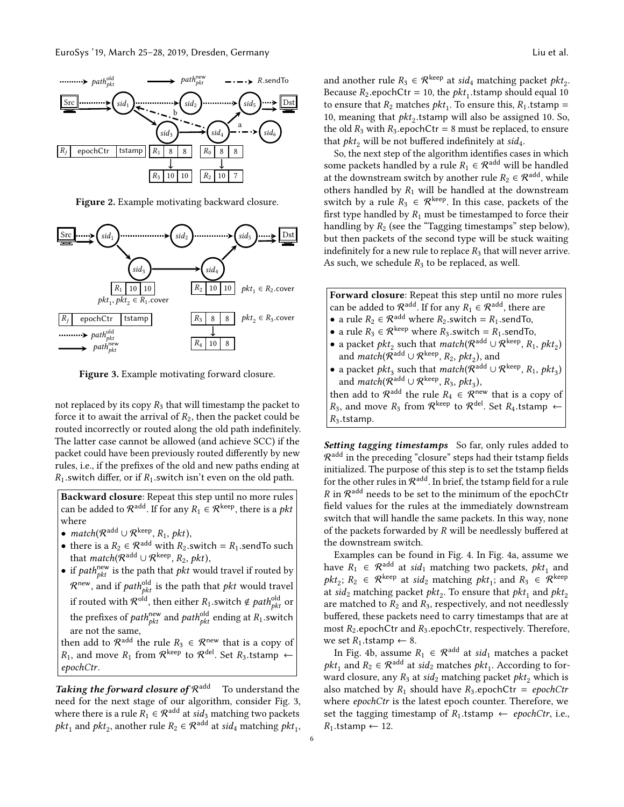<span id="page-5-0"></span>

Figure 2. Example motivating backward closure.

<span id="page-5-1"></span>

Figure 3. Example motivating forward closure.

not replaced by its copy  $R_3$  that will timestamp the packet to force it to await the arrival of  $R_2$ , then the packet could be routed incorrectly or routed along the old path indefinitely. The latter case cannot be allowed (and achieve SCC) if the packet could have been previously routed differently by new rules, i.e., if the prefixes of the old and new paths ending at  $R_1$ . switch differ, or if  $R_1$ . switch isn't even on the old path.

Backward closure: Repeat this step until no more rules can be added to  $\mathcal{R}^{\text{add}}$ . If for any  $R_1 \in \mathcal{R}^{\text{keep}}$ , there is a pkt where

- match( $\mathcal{R}^{\text{add}} \cup \mathcal{R}^{\text{keep}}, R_1, \text{pkt}$ ),
- there is a  $R_2 \in \mathcal{R}^{\text{add}}$  with  $R_2$ . switch =  $R_1$ . send To such that  $match(R^{\text{add}} \cup R^{\text{keep}}, R_2, \text{pkt}),$
- if  $path_{pkt}^{\text{new}}$  is the path that  $pkt$  would travel if routed by  $\mathcal{R}^{\mathsf{new}},$  and if  $path_{pkt}^{\mathsf{old}}$  is the path that  $pkt$  would travel if routed with  $\mathcal{R}^{\text{old}}$ , then either  $R_1$  switch  $\notin path_{pkt}^{\text{old}}$  or the prefixes of *path* $_{pkt}^{\text{new}}$  and *path* $_{pkt}^{\text{old}}$  ending at  $R_1$  switch are not the same, then add to  $\mathcal{R}^{\text{add}}$  the rule  $R_3 \in \mathcal{R}^{\text{new}}$  that is a copy of

 $R_1$ , and move  $R_1$  from  $\mathcal{R}^{\text{keep}}$  to  $\mathcal{R}^{\text{del}}$ . Set  $R_3$ .tstamp  $\leftarrow$ epochCtr.

Taking the forward closure of  $\mathcal{R}^{\text{add}}$  To understand the need for the next stage of our algorithm, consider Fig. [3,](#page-5-1) where there is a rule  $R_1 \in \mathcal{R}^{\text{add}}$  at  $sid_3$  matching two packets  $pkt_1$  and  $pkt_2$ , another rule  $R_2 \in \mathcal{R}^{\text{add}}$  at  $sid_4$  matching  $pkt_1$ , and another rule  $R_3 \in \mathcal{R}^{\text{keep}}$  at sid<sub>4</sub> matching packet pkt<sub>2</sub>. Because  $R_2$  epochCtr = 10, the  $pkt_1$  tstamp should equal 10<br>to ensure that  $R_2$  matches  $nkt$ . To ensure this  $R_2$  tstamp – to ensure that  $R_2$  matches  $pkt_1$ . To ensure this,  $R_1$  tstamp = 10 meaning that  $pkt$  tstamp will also be assigned 10. So 10, meaning that  $pkt_2$  tstamp will also be assigned 10. So, the old  $R_2$  with  $R_3$  enoch Ctr = 8 must be replaced to ensure the old  $R_3$  with  $R_3$ .epochCtr = 8 must be replaced, to ensure that  $pkt_2$  will be not buffered indefinitely at sid<sub>4</sub>.

So, the next step of the algorithm identifies cases in which some packets handled by a rule  $R_1 \in \mathcal{R}^{\text{add}}$  will be handled at the downstream switch by another rule  $R_2 \in \mathcal{R}^{\mathrm{add}},$  while others handled by  $R_1$  will be handled at the downstream switch by a rule  $R_3 \in \mathcal{R}^{\text{keep}}$ . In this case, packets of the first type handled by  $R_1$  must be timestamped to force their handling by  $R_2$  (see the "Tagging timestamps" step below), but then packets of the second type will be stuck waiting indefinitely for a new rule to replace  $R_3$  that will never arrive. As such, we schedule  $R_3$  to be replaced, as well.

Forward closure: Repeat this step until no more rules can be added to  $\mathcal{R}^{\text{add}}$ . If for any  $R_1 \in \mathcal{R}^{\text{add}}$ , there are • a rule  $R_2 \in \mathcal{R}^{\text{add}}$  where  $R_2$  switch =  $R_1$  send To, • a rule  $R_3 \in \mathcal{R}^{keep}$  where  $R_3$  switch =  $R_1$  send To, • a packet  $pkt_2$  such that  $match(R^{\text{add}} \cup R^{\text{keep}}, R_1, pkt_2)$ and  $match(R^{\text{add}} \cup R^{\text{keep}}, R_2, \text{pkt}_2)$ , and • a packet  $pkt_3$  such that  $match(R^{\text{add}} \cup R^{\text{keep}}, R_1, pkt_3)$ and  $match(R^{add} \cup R^{keep}, R_3, \text{pkt}_3),$ then add to  $\mathcal{R}^{\text{add}}$  the rule  $R_4 \in \mathcal{R}^{\text{new}}$  that is a copy of  $R_3$ , and move  $R_3$  from  $\mathcal{R}^{\text{keep}}$  to  $\mathcal{R}^{\text{del}}$ . Set  $R_4$ .tstamp  $\leftarrow$  $R_3$ .tstamp.

Setting tagging timestamps So far, only rules added to  $\mathcal{R}^{\mathrm{add}}$  in the preceding "closure" steps had their tstamp fields initialized. The purpose of this step is to set the tstamp fields for the other rules in  $\mathcal{R}^{\mathrm{add}}$ . In brief, the tstamp field for a rule R in  $\mathcal{R}^\text{add}$  needs to be set to the minimum of the epochCtr field values for the rules at the immediately downstream switch that will handle the same packets. In this way, none of the packets forwarded by  $R$  will be needlessly buffered at the downstream switch.

Examples can be found in Fig. [4.](#page-6-0) In Fig. [4a,](#page-6-0) assume we have  $R_1 \in \mathcal{R}^{\text{add}}$  at sid<sub>1</sub> matching two packets,  $pkt_1$  and  $pkt_2$ ;  $R_2 \in \mathcal{R}^{\text{keep}}$  at sid<sub>2</sub> matching  $pkt_1$ ; and  $R_3 \in \mathcal{R}^{\text{keep}}$ at si $d_2$  matching packet  $\mathit{pkt}_2$ . To ensure that  $\mathit{pkt}_1$  and  $\mathit{pkt}_2$ are matched to  $R_2$  and  $R_3$ , respectively, and not needlessly buffered, these packets need to carry timestamps that are at most  $R_2$  epochCtr and  $R_3$  epochCtr, respectively. Therefore, we set  $R_1$ .tstamp  $\leftarrow$  8.

In Fig. [4b,](#page-6-0) assume  $R_1 \in \mathcal{R}^{\text{add}}$  at sid<sub>1</sub> matches a packet  $pkt_1$  and  $R_2 \in \mathcal{R}^{\text{add}}$  at sid<sub>2</sub> matches  $pkt_1$ . According to forward closure, any  $R_3$  at sid<sub>2</sub> matching packet pkt<sub>2</sub> which is also matched by  $R_1$  should have  $R_3$  epochCtr = epochCtr where epochCtr is the latest epoch counter. Therefore, we set the tagging timestamp of  $R_1$ .tstamp  $\leftarrow$  epochCtr, i.e.,  $R_1$ .tstamp ← 12.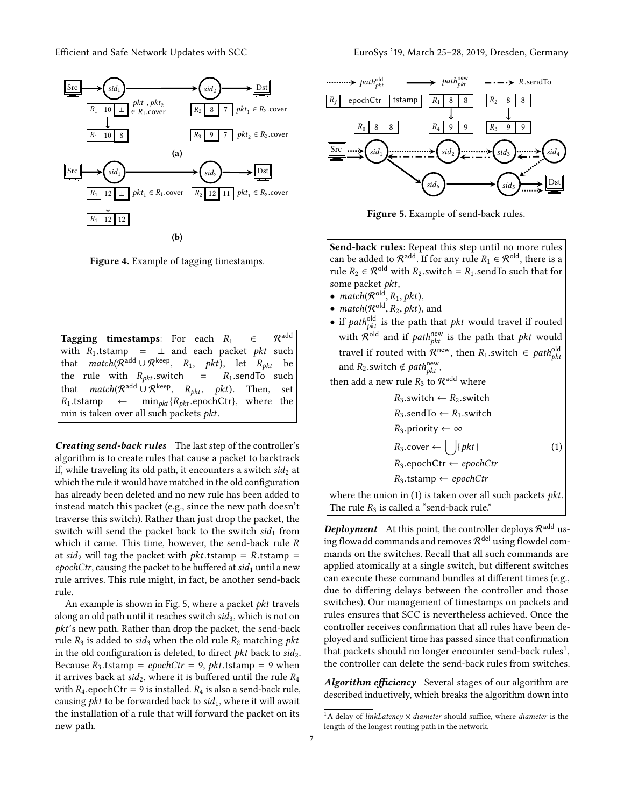<span id="page-6-0"></span>

Figure 4. Example of tagging timestamps.

Tagging timestamps: For each  $R_1 \in \mathcal{R}^{\text{add}}$ with  $R_1$ .tstamp =  $\perp$  and each packet *pkt* such that  $match(R^{add} \cup R^{keep}, R_1, \ phkt)$ , let  $R_{pkt}$  be the rule with  $R_{pkt}$ . switch =  $R_1$ . send To such that  $match(\mathcal{R}^{add} \cup \mathcal{R}^{keep}, R_{pkt}, pkt)$ . Then, set  $R_1$ .tstamp ← min<sub>pkt</sub> { $R_{pkt}$ .epochCtr}, where the min is taken over all such packets pkt.

Creating send-back rules The last step of the controller's algorithm is to create rules that cause a packet to backtrack if, while traveling its old path, it encounters a switch  $sid_2$  at which the rule it would have matched in the old configuration has already been deleted and no new rule has been added to instead match this packet (e.g., since the new path doesn't traverse this switch). Rather than just drop the packet, the switch will send the packet back to the switch  $sid_1$  from which it came. This time, however, the send-back rule R at sid<sub>2</sub> will tag the packet with *pkt*.tstamp =  $R$ .tstamp = epochCtr, causing the packet to be buffered at  $sid_1$  until a new rule arrives. This rule might, in fact, be another send-back rule.

An example is shown in Fig. [5,](#page-6-1) where a packet pkt travels along an old path until it reaches switch  $sid_3$ , which is not on pkt's new path. Rather than drop the packet, the send-back rule  $R_3$  is added to sid<sub>3</sub> when the old rule  $R_2$  matching *pkt* in the old configuration is deleted, to direct *pkt* back to  $sid_2$ . Because  $R_3$  tstamp = epochCtr = 9, pkt tstamp = 9 when it arrives back at  $sid_2$ , where it is buffered until the rule  $R_4$ with  $R_4$ .epochCtr = 9 is installed.  $R_4$  is also a send-back rule, causing *pkt* to be forwarded back to  $sid_1$ , where it will await the installation of a rule that will forward the packet on its new path.

<span id="page-6-1"></span>

Figure 5. Example of send-back rules.

Send-back rules: Repeat this step until no more rules can be added to  $\mathcal{R}^{\text{add}}$ . If for any rule  $R_1 \in \mathcal{R}^{\text{old}}$ , there is a rule  $R_2 \in \mathcal{R}^{old}$  with  $R_2$  switch =  $R_1$  send To such that for some packet pkt,

- match( $\mathcal{R}^{\text{old}}, R_1, \text{pkt}$ ),<br>• match( $\mathcal{R}^{\text{old}}$ ,  $R_1, \text{pkt}$ )
- match( $\mathcal{R}^{\text{old}}, R_2, \text{pkt}$ ), and<br>c if path<sup>old</sup> is the path the
- if *path* $_{\text{pkt}}^{\text{old}}$  is the path that *pkt* would travel if routed with  $\mathcal{R}^{\text{old}}$  and if  $path_{pkt}^{\text{new}}$  is the path that  $pkt$  would travel if routed with  $\mathcal{R}^{\text{new}}$ , then  $R_1$  switch  $\in$  pathold<br>and  $R_2$  switch  $\notin$  path<sup>new</sup> and  $R_2$  switch  $\notin path_{pkt}^{\text{new}}$ ,

then add a new rule  $R_3$  to  $\mathcal{R}^\mathrm{add}$  where

<span id="page-6-2"></span> $R_3$ .switch  $\leftarrow R_2$ .switch  $R_3$ .sendTo  $\leftarrow R_1$ .switch  $R_3$ .priority ← ∞  $R_3 \text{.cover} \leftarrow \bigcup \{pkt\}$  (1)  $R_3.\text{epoch}$ Ctr  $\leftarrow epochC$ tr  $R_3$ .tstamp ← epochCtr where the union in  $(1)$  is taken over all such packets *pkt*.

The rule  $R_3$  is called a "send-back rule."

**Deployment** At this point, the controller deploys  $\mathcal{R}^{\text{add}}$  using flowadd commands and removes  $\mathcal{R}^\mathsf{del}$  using flowdel commands on the switches. Recall that all such commands are applied atomically at a single switch, but different switches can execute these command bundles at different times (e.g., due to differing delays between the controller and those switches). Our management of timestamps on packets and rules ensures that SCC is nevertheless achieved. Once the controller receives confirmation that all rules have been deployed and sufficient time has passed since that confirmation that packets should no longer encounter send-back rules $^1,$  $^1,$  $^1,$ the controller can delete the send-back rules from switches.

Algorithm efficiency Several stages of our algorithm are described inductively, which breaks the algorithm down into

<span id="page-6-3"></span><sup>&</sup>lt;sup>1</sup>A delay of *linkLatency*  $\times$  *diameter* should suffice, where *diameter* is the length of the longest routing path in the network.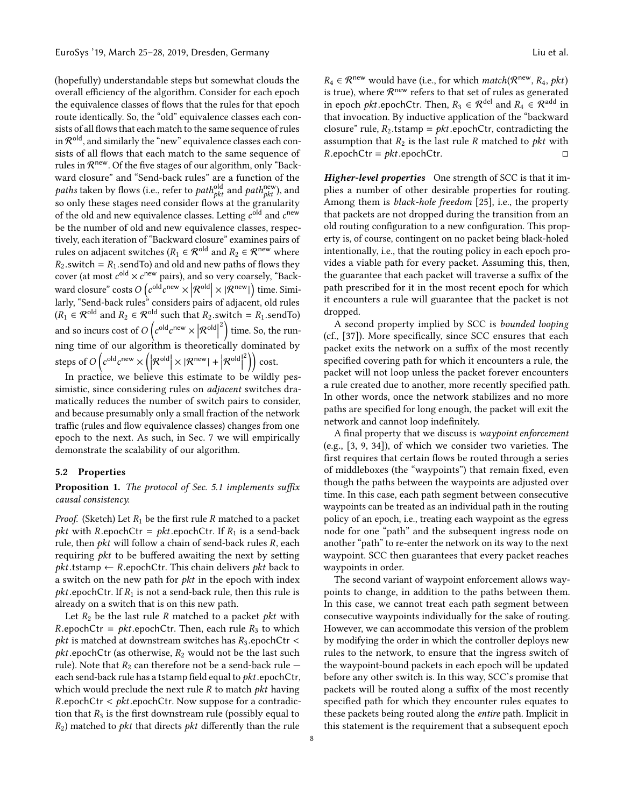(hopefully) understandable steps but somewhat clouds the overall efficiency of the algorithm. Consider for each epoch the equivalence classes of flows that the rules for that epoch route identically. So, the "old" equivalence classes each consists of all flows that each match to the same sequence of rules in  $\mathcal{R}^\mathsf{old}$ , and similarly the "new" equivalence classes each consists of all flows that each match to the same sequence of rules in  $\mathcal{R}^{\text{new}}$  . Of the five stages of our algorithm, only "Backward closure" and "Send-back rules" are a function of the *paths* taken by flows (i.e., refer to  $path_{pkt}^{\text{old}}$  and  $path_{pkt}^{\text{new}}$ ), and so only these stages need consider flows at the granularity of the old and new equivalence classes. Letting  $c^{\text{old}}$  and  $c^{\text{new}}$ be the number of old and new equivalence classes, respectively, each iteration of "Backward closure" examines pairs of rules on adjacent switches ( $R_1 \in \mathcal{R}^{\text{old}}$  and  $R_2 \in \mathcal{R}^{\text{new}}$  where  $R_2$  switch =  $R_1$  sendTo) and old and new paths of flows they cover (at most  $c^{\text{old}} \times c^{\text{new}}$  pairs), and so very coarsely, "Backward closure" costs  $O(e^{old}e^{new} \times |\mathcal{R}^{old}| \times |\mathcal{R}^{new}|)$  time. Similarly, "Send-back rules" considers pairs of adjacent, old rules  $(R_1 \in \mathcal{R}^{\text{old}} \text{ and } R_2 \in \mathcal{R}^{\text{old}} \text{ such that } R_2 \text{ .switch} = R_1 \text{ .sendTo}$ and so incurs cost of  $O\left(e^{\text{old}}e^{\text{new}} \times |\mathcal{R}^{\text{old}}|^2\right)$  time. So, the running time of our algorithm is theoretically dominated by steps of  $O\left(c^{\text{old}}c^{\text{new}} \times \left(\left|\mathcal{R}^{\text{old}}\right| \times |\mathcal{R}^{\text{new}}| + \left|\mathcal{R}^{\text{old}}\right|^2\right)\right) \text{cost}.$ 

In practice, we believe this estimate to be wildly pessimistic, since considering rules on adjacent switches dramatically reduces the number of switch pairs to consider, and because presumably only a small fraction of the network traffic (rules and flow equivalence classes) changes from one epoch to the next. As such, in Sec. [7](#page-9-0) we will empirically demonstrate the scalability of our algorithm.

#### <span id="page-7-0"></span>5.2 Properties

## Proposition 1. The protocol of Sec. [5.1](#page-4-0) implements suffix causal consistency.

*Proof.* (Sketch) Let  $R_1$  be the first rule R matched to a packet *pkt* with R.epochCtr = *pkt*.epochCtr. If  $R_1$  is a send-back rule, then  $pkt$  will follow a chain of send-back rules  $R$ , each requiring *pkt* to be buffered awaiting the next by setting  $pkt.tstamp \leftarrow R.\text{epochCtr}.$  This chain delivers pkt back to a switch on the new path for  $pkt$  in the epoch with index *pkt*.epochCtr. If  $R_1$  is not a send-back rule, then this rule is already on a switch that is on this new path.

Let  $R_2$  be the last rule R matched to a packet *pkt* with  $R.\text{epochCtr} = \rho kt.\text{epochCtr}.$  Then, each rule  $R_3$  to which *pkt* is matched at downstream switches has  $R_3$ .epochCtr < *pkt*.epochCtr (as otherwise,  $R_2$  would not be the last such rule). Note that  $R_2$  can therefore not be a send-back rule  $$ each send-back rule has a tstamp field equal to  $pkt$ .epochCtr, which would preclude the next rule  $R$  to match  $pkt$  having  $R.\text{epoch}$ Ctr  $\lt$  *pkt*.epochCtr. Now suppose for a contradiction that  $R_3$  is the first downstream rule (possibly equal to  $R_2$ ) matched to *pkt* that directs *pkt* differently than the rule

 $R_4 \in \mathcal{R}^{\text{new}}$  would have (i.e., for which *match*( $\mathcal{R}^{\text{new}}, R_4, \, \text{pkt}$ ) is true), where  $\mathcal{R}^{\text{new}}$  refers to that set of rules as generated in epoch *pkt*.epochCtr. Then,  $R_3 \in \mathcal{R}^{del}$  and  $R_4 \in \mathcal{R}^{add}$  in that invocation. By inductive application of the "backward closure" rule,  $R_2$  tstamp =  $pkt$  epochCtr, contradicting the assumption that  $R_2$  is the last rule R matched to *pkt* with  $R.\text{epochCtr} = \text{pkt}.\text{epochCtr}.$ 

Higher-level properties One strength of SCC is that it implies a number of other desirable properties for routing. Among them is black-hole freedom [\[25\]](#page-14-13), i.e., the property that packets are not dropped during the transition from an old routing configuration to a new configuration. This property is, of course, contingent on no packet being black-holed intentionally, i.e., that the routing policy in each epoch provides a viable path for every packet. Assuming this, then, the guarantee that each packet will traverse a suffix of the path prescribed for it in the most recent epoch for which it encounters a rule will guarantee that the packet is not dropped.

A second property implied by SCC is bounded looping (cf., [\[37\]](#page-14-20)). More specifically, since SCC ensures that each packet exits the network on a suffix of the most recently specified covering path for which it encounters a rule, the packet will not loop unless the packet forever encounters a rule created due to another, more recently specified path. In other words, once the network stabilizes and no more paths are specified for long enough, the packet will exit the network and cannot loop indefinitely.

A final property that we discuss is waypoint enforcement (e.g., [\[3,](#page-13-9) [9,](#page-13-10) [34\]](#page-14-21)), of which we consider two varieties. The first requires that certain flows be routed through a series of middleboxes (the "waypoints") that remain fixed, even though the paths between the waypoints are adjusted over time. In this case, each path segment between consecutive waypoints can be treated as an individual path in the routing policy of an epoch, i.e., treating each waypoint as the egress node for one "path" and the subsequent ingress node on another "path" to re-enter the network on its way to the next waypoint. SCC then guarantees that every packet reaches waypoints in order.

The second variant of waypoint enforcement allows waypoints to change, in addition to the paths between them. In this case, we cannot treat each path segment between consecutive waypoints individually for the sake of routing. However, we can accommodate this version of the problem by modifying the order in which the controller deploys new rules to the network, to ensure that the ingress switch of the waypoint-bound packets in each epoch will be updated before any other switch is. In this way, SCC's promise that packets will be routed along a suffix of the most recently specified path for which they encounter rules equates to these packets being routed along the entire path. Implicit in this statement is the requirement that a subsequent epoch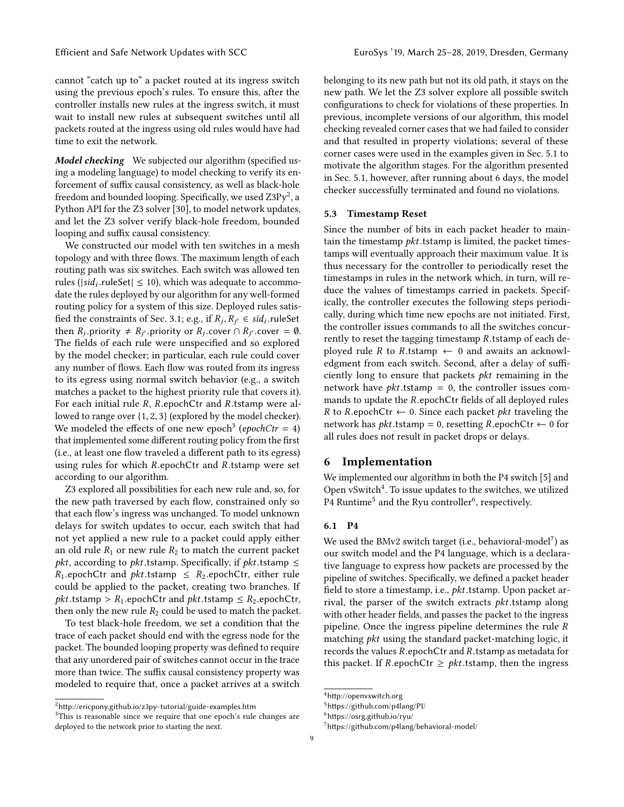cannot "catch up to" a packet routed at its ingress switch using the previous epoch's rules. To ensure this, after the controller installs new rules at the ingress switch, it must wait to install new rules at subsequent switches until all packets routed at the ingress using old rules would have had time to exit the network.

**Model checking** We subjected our algorithm (specified using a modeling language) to model checking to verify its enforcement of suffix causal consistency, as well as black-hole freedom and bounded looping. Specifically, we used  $\rm Z3Py^2$  $\rm Z3Py^2$ , a Python API for the Z3 solver [\[30\]](#page-14-22), to model network updates, and let the Z3 solver verify black-hole freedom, bounded looping and suffix causal consistency.

We constructed our model with ten switches in a mesh topology and with three flows. The maximum length of each routing path was six switches. Each switch was allowed ten rules ( $|sid_i$ .ruleSet $| \leq 10$ ), which was adequate to accommodate the rules deployed by our algorithm for any well-formed date the rules deployed by our algorithm for any well-formed routing policy for a system of this size. Deployed rules satis-fied the constraints of Sec. [3.1;](#page-2-0) e.g., if  $R_j, R_{j'} \in \mathfrak{sd}_i$ .ruleSet<br>then  $R_j$ , priority  $\neq R_{ij}$  priority or  $R_j$ , cover  $\cap R_{ji}$  cover  $\equiv \emptyset$ . then  $R_j$  priority  $\neq R_{j'}$  priority or  $R_j$  cover  $\cap R_{j'}$  cover = 0.<br>The fields of each rule were unspecified and so explored The fields of each rule were unspecified and so explored by the model checker; in particular, each rule could cover any number of flows. Each flow was routed from its ingress to its egress using normal switch behavior (e.g., a switch matches a packet to the highest priority rule that covers it). For each initial rule <sup>R</sup>, <sup>R</sup>.epochCtr and <sup>R</sup>.tstamp were allowed to range over {1, <sup>2</sup>, <sup>3</sup>} (explored by the model checker). We modeled the effects of one new epoch<sup>[3](#page-8-2)</sup> (epochCtr = 4) that implemented some different routing policy from the first (i.e., at least one flow traveled a different path to its egress) using rules for which <sup>R</sup>.epochCtr and <sup>R</sup>.tstamp were set according to our algorithm.

Z3 explored all possibilities for each new rule and, so, for the new path traversed by each flow, constrained only so that each flow's ingress was unchanged. To model unknown delays for switch updates to occur, each switch that had not yet applied a new rule to a packet could apply either an old rule  $R_1$  or new rule  $R_2$  to match the current packet *pkt*, according to *pkt*.tstamp. Specifically, if *pkt*.tstamp  $\leq$  $R_1$ .epochCtr and *pkt*.tstamp  $\leq R_2$ .epochCtr, either rule could be applied to the packet, creating two branches. If  $$ then only the new rule  $R_2$  could be used to match the packet.

To test black-hole freedom, we set a condition that the trace of each packet should end with the egress node for the packet. The bounded looping property was defined to require that any unordered pair of switches cannot occur in the trace more than twice. The suffix causal consistency property was modeled to require that, once a packet arrives at a switch belonging to its new path but not its old path, it stays on the new path. We let the Z3 solver explore all possible switch configurations to check for violations of these properties. In previous, incomplete versions of our algorithm, this model checking revealed corner cases that we had failed to consider and that resulted in property violations; several of these corner cases were used in the examples given in Sec. [5.1](#page-4-0) to motivate the algorithm stages. For the algorithm presented in Sec. [5.1,](#page-4-0) however, after running about 6 days, the model checker successfully terminated and found no violations.

## 5.3 Timestamp Reset

Since the number of bits in each packet header to maintain the timestamp  $pkt$ .tstamp is limited, the packet timestamps will eventually approach their maximum value. It is thus necessary for the controller to periodically reset the timestamps in rules in the network which, in turn, will reduce the values of timestamps carried in packets. Specifically, the controller executes the following steps periodically, during which time new epochs are not initiated. First, the controller issues commands to all the switches concurrently to reset the tagging timestamp <sup>R</sup>.tstamp of each deployed rule R to R.tstamp  $\leftarrow$  0 and awaits an acknowledgment from each switch. Second, after a delay of sufficiently long to ensure that packets pkt remaining in the network have  $pkt$ .tstamp = 0, the controller issues commands to update the <sup>R</sup>.epochCtr fields of all deployed rules R to R.epochCtr  $\leftarrow$  0. Since each packet *pkt* traveling the network has *pkt*.tstamp = 0, resetting R.epochCtr  $\leftarrow$  0 for all rules does not result in packet drops or delays.

## <span id="page-8-0"></span>6 Implementation

We implemented our algorithm in both the P4 switch [\[5\]](#page-13-4) and Open vSwitch<sup>[4](#page-8-3)</sup>. To issue updates to the switches, we utilized P4 Runtime<sup>[5](#page-8-4)</sup> and the Ryu controller<sup>[6](#page-8-5)</sup>, respectively.

## 6.1 P4

We used the BMv2 switch target (i.e., behavioral-model<sup>[7](#page-8-6)</sup>) as our switch model and the P4 language, which is a declarative language to express how packets are processed by the pipeline of switches. Specifically, we defined a packet header field to store a timestamp, i.e., *pkt*.tstamp. Upon packet arrival, the parser of the switch extracts pkt.tstamp along with other header fields, and passes the packet to the ingress pipeline. Once the ingress pipeline determines the rule R matching pkt using the standard packet-matching logic, it records the values <sup>R</sup>.epochCtr and <sup>R</sup>.tstamp as metadata for this packet. If R.epochCtr  $\geq$  *pkt*.tstamp, then the ingress

<span id="page-8-1"></span> $2$ <http://ericpony.github.io/z3py-tutorial/guide-examples.htm>

<span id="page-8-2"></span><sup>&</sup>lt;sup>3</sup>This is reasonable since we require that one epoch's rule changes are deployed to the network prior to starting the next.

<span id="page-8-3"></span><sup>4</sup><http://openvswitch.org>

<span id="page-8-4"></span><sup>5</sup><https://github.com/p4lang/PI/>

<span id="page-8-5"></span><sup>6</sup><https://osrg.github.io/ryu/>

<span id="page-8-6"></span><sup>7</sup><https://github.com/p4lang/behavioral-model/>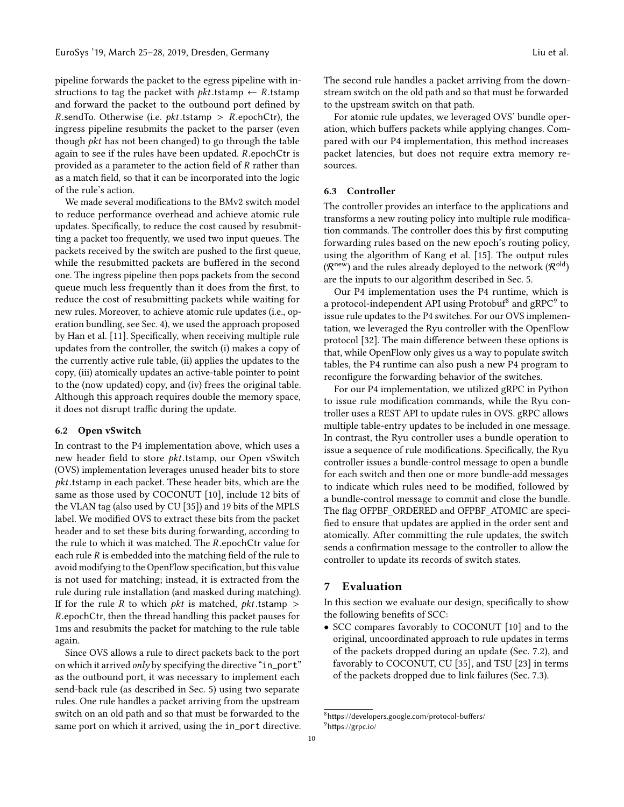pipeline forwards the packet to the egress pipeline with instructions to tag the packet with  $pkt$ .tstamp  $\leftarrow$  R.tstamp and forward the packet to the outbound port defined by R.sendTo. Otherwise (i.e.  $pkt$ .tstamp > R.epochCtr), the ingress pipeline resubmits the packet to the parser (even though pkt has not been changed) to go through the table again to see if the rules have been updated. <sup>R</sup>.epochCtr is provided as a parameter to the action field of R rather than as a match field, so that it can be incorporated into the logic of the rule's action.

We made several modifications to the BMv2 switch model to reduce performance overhead and achieve atomic rule updates. Specifically, to reduce the cost caused by resubmitting a packet too frequently, we used two input queues. The packets received by the switch are pushed to the first queue, while the resubmitted packets are buffered in the second one. The ingress pipeline then pops packets from the second queue much less frequently than it does from the first, to reduce the cost of resubmitting packets while waiting for new rules. Moreover, to achieve atomic rule updates (i.e., operation bundling, see Sec. [4\)](#page-3-0), we used the approach proposed by Han et al. [\[11\]](#page-13-11). Specifically, when receiving multiple rule updates from the controller, the switch (i) makes a copy of the currently active rule table, (ii) applies the updates to the copy, (iii) atomically updates an active-table pointer to point to the (now updated) copy, and (iv) frees the original table. Although this approach requires double the memory space, it does not disrupt traffic during the update.

#### 6.2 Open vSwitch

In contrast to the P4 implementation above, which uses a new header field to store pkt.tstamp, our Open vSwitch (OVS) implementation leverages unused header bits to store pkt.tstamp in each packet. These header bits, which are the same as those used by COCONUT [\[10\]](#page-13-5), include 12 bits of the VLAN tag (also used by CU [\[35\]](#page-14-1)) and 19 bits of the MPLS label. We modified OVS to extract these bits from the packet header and to set these bits during forwarding, according to the rule to which it was matched. The <sup>R</sup>.epochCtr value for each rule  $R$  is embedded into the matching field of the rule to avoid modifying to the OpenFlow specification, but this value is not used for matching; instead, it is extracted from the rule during rule installation (and masked during matching). If for the rule R to which *pkt* is matched, *pkt*.tstamp > <sup>R</sup>.epochCtr, then the thread handling this packet pauses for 1ms and resubmits the packet for matching to the rule table again.

Since OVS allows a rule to direct packets back to the port on which it arrived only by specifying the directive "in\_port" as the outbound port, it was necessary to implement each send-back rule (as described in Sec. [5\)](#page-3-1) using two separate rules. One rule handles a packet arriving from the upstream switch on an old path and so that must be forwarded to the same port on which it arrived, using the in\_port directive. The second rule handles a packet arriving from the downstream switch on the old path and so that must be forwarded to the upstream switch on that path.

For atomic rule updates, we leveraged OVS' bundle operation, which buffers packets while applying changes. Compared with our P4 implementation, this method increases packet latencies, but does not require extra memory resources.

## 6.3 Controller

The controller provides an interface to the applications and transforms a new routing policy into multiple rule modification commands. The controller does this by first computing forwarding rules based on the new epoch's routing policy, using the algorithm of Kang et al. [\[15\]](#page-14-19). The output rules  $(\mathcal{R}^{\mathsf{new}})$  and the rules already deployed to the network  $(\mathcal{R}^{\mathsf{old}})$ are the inputs to our algorithm described in Sec. [5.](#page-3-1)

Our P4 implementation uses the P4 runtime, which is a protocol-independent API using Protobuf $^8$  $^8$  and gRPC $^9$  $^9$  to issue rule updates to the P4 switches. For our OVS implementation, we leveraged the Ryu controller with the OpenFlow protocol [\[32\]](#page-14-23). The main difference between these options is that, while OpenFlow only gives us a way to populate switch tables, the P4 runtime can also push a new P4 program to reconfigure the forwarding behavior of the switches.

For our P4 implementation, we utilized gRPC in Python to issue rule modification commands, while the Ryu controller uses a REST API to update rules in OVS. gRPC allows multiple table-entry updates to be included in one message. In contrast, the Ryu controller uses a bundle operation to issue a sequence of rule modifications. Specifically, the Ryu controller issues a bundle-control message to open a bundle for each switch and then one or more bundle-add messages to indicate which rules need to be modified, followed by a bundle-control message to commit and close the bundle. The flag OFPBF\_ORDERED and OFPBF\_ATOMIC are specified to ensure that updates are applied in the order sent and atomically. After committing the rule updates, the switch sends a confirmation message to the controller to allow the controller to update its records of switch states.

# <span id="page-9-0"></span>7 Evaluation

In this section we evaluate our design, specifically to show the following benefits of SCC:

• SCC compares favorably to COCONUT [\[10\]](#page-13-5) and to the original, uncoordinated approach to rule updates in terms of the packets dropped during an update (Sec. [7.2\)](#page-11-0), and favorably to COCONUT, CU [\[35\]](#page-14-1), and TSU [\[23\]](#page-14-10) in terms of the packets dropped due to link failures (Sec. [7.3\)](#page-11-1).

<span id="page-9-2"></span><span id="page-9-1"></span><sup>8</sup><https://developers.google.com/protocol-buffers/> <sup>9</sup><https://grpc.io/>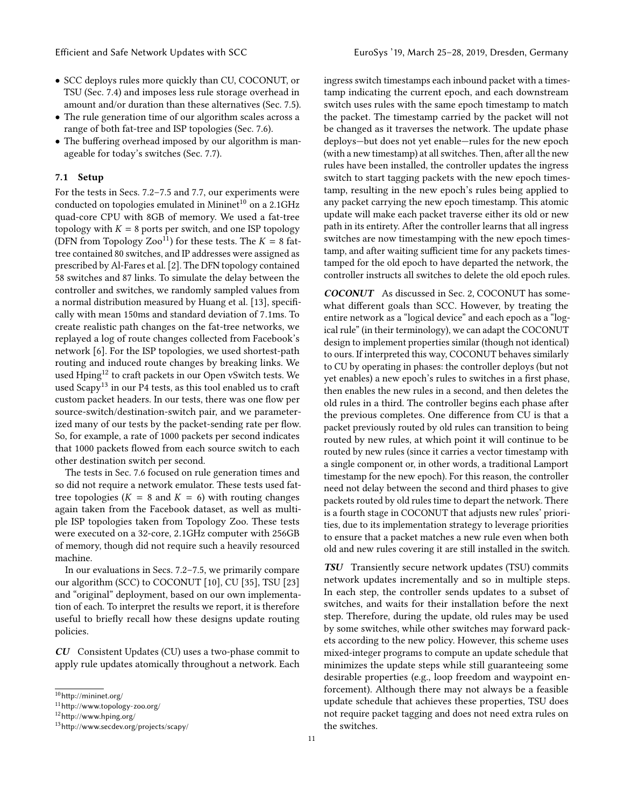- SCC deploys rules more quickly than CU, COCONUT, or TSU (Sec. [7.4\)](#page-12-0) and imposes less rule storage overhead in amount and/or duration than these alternatives (Sec. [7.5\)](#page-12-1).
- The rule generation time of our algorithm scales across a range of both fat-tree and ISP topologies (Sec. [7.6\)](#page-12-2).
- The buffering overhead imposed by our algorithm is manageable for today's switches (Sec. [7.7\)](#page-13-12).

#### 7.1 Setup

For the tests in Secs. [7.2–](#page-11-0)[7.5](#page-12-1) and [7.7,](#page-13-12) our experiments were conducted on topologies emulated in Mininet<sup>[10](#page-10-0)</sup> on a 2.1GHz quad-core CPU with 8GB of memory. We used a fat-tree topology with  $K = 8$  ports per switch, and one ISP topology (DFN from Topology Zoo<sup>[11](#page-10-1)</sup>) for these tests. The  $K = 8$  fattree contained 80 switches, and IP addresses were assigned as prescribed by Al-Fares et al. [\[2\]](#page-13-13). The DFN topology contained 58 switches and 87 links. To simulate the delay between the controller and switches, we randomly sampled values from a normal distribution measured by Huang et al. [\[13\]](#page-13-14), specifically with mean 150ms and standard deviation of <sup>7</sup>.1ms. To create realistic path changes on the fat-tree networks, we replayed a log of route changes collected from Facebook's network [\[6\]](#page-13-15). For the ISP topologies, we used shortest-path routing and induced route changes by breaking links. We used Hping<sup>[12](#page-10-2)</sup> to craft packets in our Open vSwitch tests. We used Scapy<sup>[13](#page-10-3)</sup> in our P4 tests, as this tool enabled us to craft custom packet headers. In our tests, there was one flow per source-switch/destination-switch pair, and we parameterized many of our tests by the packet-sending rate per flow. So, for example, a rate of 1000 packets per second indicates that 1000 packets flowed from each source switch to each other destination switch per second.

The tests in Sec. [7.6](#page-12-2) focused on rule generation times and so did not require a network emulator. These tests used fattree topologies ( $K = 8$  and  $K = 6$ ) with routing changes again taken from the Facebook dataset, as well as multiple ISP topologies taken from Topology Zoo. These tests were executed on a 32-core, <sup>2</sup>.1GHz computer with 256GB of memory, though did not require such a heavily resourced machine.

In our evaluations in Secs. [7.2–](#page-11-0)[7.5,](#page-12-1) we primarily compare our algorithm (SCC) to COCONUT [\[10\]](#page-13-5), CU [\[35\]](#page-14-1), TSU [\[23\]](#page-14-10) and "original" deployment, based on our own implementation of each. To interpret the results we report, it is therefore useful to briefly recall how these designs update routing policies.

CU Consistent Updates (CU) uses a two-phase commit to apply rule updates atomically throughout a network. Each ingress switch timestamps each inbound packet with a timestamp indicating the current epoch, and each downstream switch uses rules with the same epoch timestamp to match the packet. The timestamp carried by the packet will not be changed as it traverses the network. The update phase deploys—but does not yet enable—rules for the new epoch (with a new timestamp) at all switches. Then, after all the new rules have been installed, the controller updates the ingress switch to start tagging packets with the new epoch timestamp, resulting in the new epoch's rules being applied to any packet carrying the new epoch timestamp. This atomic update will make each packet traverse either its old or new path in its entirety. After the controller learns that all ingress switches are now timestamping with the new epoch timestamp, and after waiting sufficient time for any packets timestamped for the old epoch to have departed the network, the controller instructs all switches to delete the old epoch rules.

COCONUT As discussed in Sec. [2,](#page-1-0) COCONUT has somewhat different goals than SCC. However, by treating the entire network as a "logical device" and each epoch as a "logical rule" (in their terminology), we can adapt the COCONUT design to implement properties similar (though not identical) to ours. If interpreted this way, COCONUT behaves similarly to CU by operating in phases: the controller deploys (but not yet enables) a new epoch's rules to switches in a first phase, then enables the new rules in a second, and then deletes the old rules in a third. The controller begins each phase after the previous completes. One difference from CU is that a packet previously routed by old rules can transition to being routed by new rules, at which point it will continue to be routed by new rules (since it carries a vector timestamp with a single component or, in other words, a traditional Lamport timestamp for the new epoch). For this reason, the controller need not delay between the second and third phases to give packets routed by old rules time to depart the network. There is a fourth stage in COCONUT that adjusts new rules' priorities, due to its implementation strategy to leverage priorities to ensure that a packet matches a new rule even when both old and new rules covering it are still installed in the switch.

TSU Transiently secure network updates (TSU) commits network updates incrementally and so in multiple steps. In each step, the controller sends updates to a subset of switches, and waits for their installation before the next step. Therefore, during the update, old rules may be used by some switches, while other switches may forward packets according to the new policy. However, this scheme uses mixed-integer programs to compute an update schedule that minimizes the update steps while still guaranteeing some desirable properties (e.g., loop freedom and waypoint enforcement). Although there may not always be a feasible update schedule that achieves these properties, TSU does not require packet tagging and does not need extra rules on the switches.

<span id="page-10-0"></span> $10$ <http://mininet.org/>

<span id="page-10-1"></span> $^{11}$ <http://www.topology-zoo.org/>  $\,$ 

<span id="page-10-2"></span><sup>12</sup><http://www.hping.org/>

<span id="page-10-3"></span><sup>13</sup><http://www.secdev.org/projects/scapy/>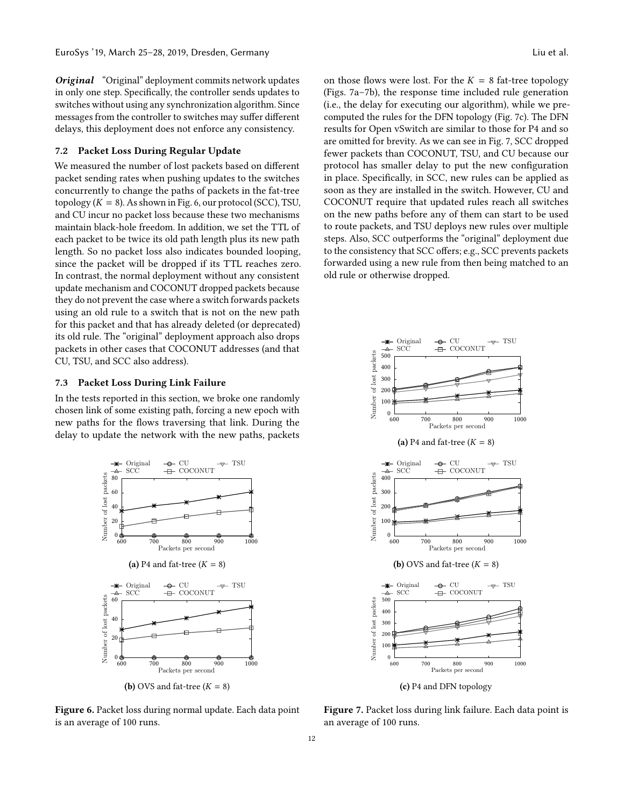**Original** "Original" deployment commits network updates in only one step. Specifically, the controller sends updates to switches without using any synchronization algorithm. Since messages from the controller to switches may suffer different delays, this deployment does not enforce any consistency.

# <span id="page-11-0"></span>7.2 Packet Loss During Regular Update

We measured the number of lost packets based on different packet sending rates when pushing updates to the switches concurrently to change the paths of packets in the fat-tree topology  $(K = 8)$ . As shown in Fig. [6,](#page-11-2) our protocol (SCC), TSU, and CU incur no packet loss because these two mechanisms maintain black-hole freedom. In addition, we set the TTL of each packet to be twice its old path length plus its new path length. So no packet loss also indicates bounded looping, since the packet will be dropped if its TTL reaches zero. In contrast, the normal deployment without any consistent update mechanism and COCONUT dropped packets because they do not prevent the case where a switch forwards packets using an old rule to a switch that is not on the new path for this packet and that has already deleted (or deprecated) its old rule. The "original" deployment approach also drops packets in other cases that COCONUT addresses (and that CU, TSU, and SCC also address).

#### <span id="page-11-1"></span>7.3 Packet Loss During Link Failure

In the tests reported in this section, we broke one randomly chosen link of some existing path, forcing a new epoch with new paths for the flows traversing that link. During the delay to update the network with the new paths, packets

<span id="page-11-2"></span>

Figure 6. Packet loss during normal update. Each data point is an average of 100 runs.

on those flows were lost. For the  $K = 8$  fat-tree topology (Figs. [7a–7b\)](#page-11-3), the response time included rule generation (i.e., the delay for executing our algorithm), while we precomputed the rules for the DFN topology (Fig. [7c\)](#page-11-3). The DFN results for Open vSwitch are similar to those for P4 and so are omitted for brevity. As we can see in Fig. [7,](#page-11-3) SCC dropped fewer packets than COCONUT, TSU, and CU because our protocol has smaller delay to put the new configuration in place. Specifically, in SCC, new rules can be applied as soon as they are installed in the switch. However, CU and COCONUT require that updated rules reach all switches on the new paths before any of them can start to be used to route packets, and TSU deploys new rules over multiple steps. Also, SCC outperforms the "original" deployment due to the consistency that SCC offers; e.g., SCC prevents packets forwarded using a new rule from then being matched to an old rule or otherwise dropped.

<span id="page-11-3"></span>

Figure 7. Packet loss during link failure. Each data point is an average of 100 runs.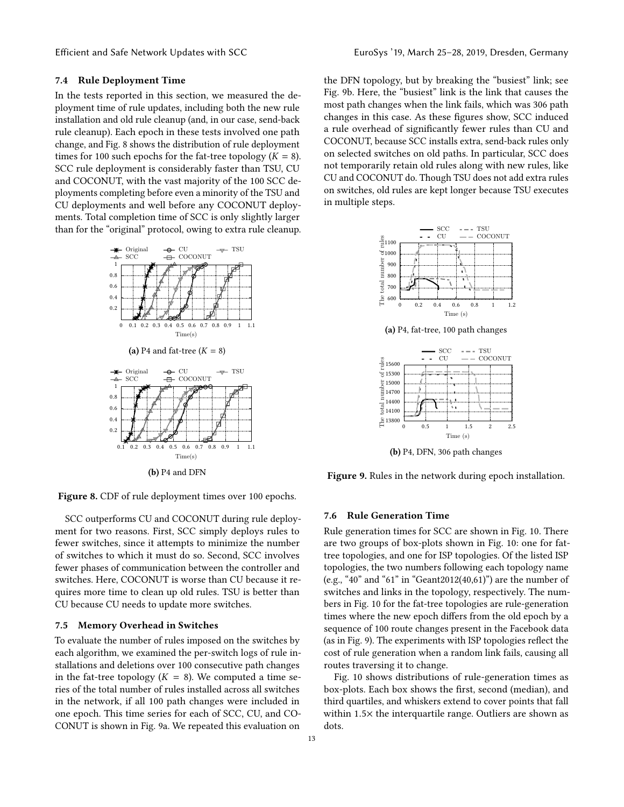## <span id="page-12-0"></span>7.4 Rule Deployment Time

In the tests reported in this section, we measured the deployment time of rule updates, including both the new rule installation and old rule cleanup (and, in our case, send-back rule cleanup). Each epoch in these tests involved one path change, and Fig. [8](#page-12-3) shows the distribution of rule deployment times for 100 such epochs for the fat-tree topology  $(K = 8)$ . SCC rule deployment is considerably faster than TSU, CU and COCONUT, with the vast majority of the 100 SCC deployments completing before even a minority of the TSU and CU deployments and well before any COCONUT deployments. Total completion time of SCC is only slightly larger than for the "original" protocol, owing to extra rule cleanup.

<span id="page-12-3"></span>

Figure 8. CDF of rule deployment times over 100 epochs.

SCC outperforms CU and COCONUT during rule deployment for two reasons. First, SCC simply deploys rules to fewer switches, since it attempts to minimize the number of switches to which it must do so. Second, SCC involves fewer phases of communication between the controller and switches. Here, COCONUT is worse than CU because it requires more time to clean up old rules. TSU is better than CU because CU needs to update more switches.

#### <span id="page-12-1"></span>7.5 Memory Overhead in Switches

To evaluate the number of rules imposed on the switches by each algorithm, we examined the per-switch logs of rule installations and deletions over 100 consecutive path changes in the fat-tree topology ( $K = 8$ ). We computed a time series of the total number of rules installed across all switches in the network, if all 100 path changes were included in one epoch. This time series for each of SCC, CU, and CO-CONUT is shown in Fig. [9a.](#page-12-4) We repeated this evaluation on

the DFN topology, but by breaking the "busiest" link; see Fig. [9b.](#page-12-4) Here, the "busiest" link is the link that causes the most path changes when the link fails, which was 306 path changes in this case. As these figures show, SCC induced a rule overhead of significantly fewer rules than CU and COCONUT, because SCC installs extra, send-back rules only on selected switches on old paths. In particular, SCC does not temporarily retain old rules along with new rules, like CU and COCONUT do. Though TSU does not add extra rules on switches, old rules are kept longer because TSU executes in multiple steps.

<span id="page-12-4"></span>

(a) P4, fat-tree, 100 path changes



(b) P4, DFN, 306 path changes

Figure 9. Rules in the network during epoch installation.

#### <span id="page-12-2"></span>7.6 Rule Generation Time

Rule generation times for SCC are shown in Fig. [10.](#page-13-16) There are two groups of box-plots shown in Fig. [10:](#page-13-16) one for fattree topologies, and one for ISP topologies. Of the listed ISP topologies, the two numbers following each topology name (e.g., "40" and "61" in "Geant2012(40,61)") are the number of switches and links in the topology, respectively. The numbers in Fig. [10](#page-13-16) for the fat-tree topologies are rule-generation times where the new epoch differs from the old epoch by a sequence of 100 route changes present in the Facebook data (as in Fig. [9\)](#page-12-4). The experiments with ISP topologies reflect the cost of rule generation when a random link fails, causing all routes traversing it to change.

Fig. [10](#page-13-16) shows distributions of rule-generation times as box-plots. Each box shows the first, second (median), and third quartiles, and whiskers extend to cover points that fall within <sup>1</sup>.5<sup>×</sup> the interquartile range. Outliers are shown as dots.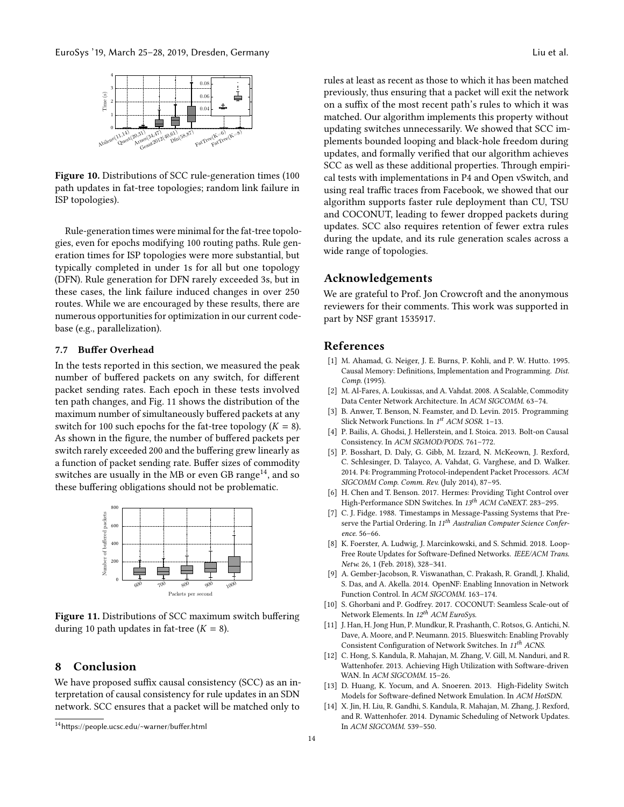<span id="page-13-16"></span>

Figure 10. Distributions of SCC rule-generation times (100 path updates in fat-tree topologies; random link failure in ISP topologies).

Rule-generation times were minimal for the fat-tree topologies, even for epochs modifying 100 routing paths. Rule generation times for ISP topologies were more substantial, but typically completed in under 1s for all but one topology (DFN). Rule generation for DFN rarely exceeded 3s, but in these cases, the link failure induced changes in over 250 routes. While we are encouraged by these results, there are numerous opportunities for optimization in our current codebase (e.g., parallelization).

## <span id="page-13-12"></span>7.7 Buffer Overhead

In the tests reported in this section, we measured the peak number of buffered packets on any switch, for different packet sending rates. Each epoch in these tests involved ten path changes, and Fig. [11](#page-13-17) shows the distribution of the maximum number of simultaneously buffered packets at any switch for 100 such epochs for the fat-tree topology  $(K = 8)$ . As shown in the figure, the number of buffered packets per switch rarely exceeded 200 and the buffering grew linearly as a function of packet sending rate. Buffer sizes of commodity switches are usually in the MB or even GB range<sup>[14](#page-13-18)</sup>, and so these buffering obligations should not be problematic.

<span id="page-13-17"></span>

Figure 11. Distributions of SCC maximum switch buffering during 10 path updates in fat-tree  $(K = 8)$ .

## <span id="page-13-6"></span>8 Conclusion

We have proposed suffix causal consistency (SCC) as an interpretation of causal consistency for rule updates in an SDN network. SCC ensures that a packet will be matched only to

rules at least as recent as those to which it has been matched

previously, thus ensuring that a packet will exit the network on a suffix of the most recent path's rules to which it was matched. Our algorithm implements this property without updating switches unnecessarily. We showed that SCC implements bounded looping and black-hole freedom during updates, and formally verified that our algorithm achieves SCC as well as these additional properties. Through empirical tests with implementations in P4 and Open vSwitch, and using real traffic traces from Facebook, we showed that our algorithm supports faster rule deployment than CU, TSU and COCONUT, leading to fewer dropped packets during updates. SCC also requires retention of fewer extra rules during the update, and its rule generation scales across a wide range of topologies.

## Acknowledgements

We are grateful to Prof. Jon Crowcroft and the anonymous reviewers for their comments. This work was supported in part by NSF grant 1535917.

## References

- <span id="page-13-3"></span>[1] M. Ahamad, G. Neiger, J. E. Burns, P. Kohli, and P. W. Hutto. 1995. Causal Memory: Definitions, Implementation and Programming. Dist. Comp. (1995).
- <span id="page-13-13"></span>[2] M. Al-Fares, A. Loukissas, and A. Vahdat. 2008. A Scalable, Commodity Data Center Network Architecture. In ACM SIGCOMM. 63–74.
- <span id="page-13-9"></span>[3] B. Anwer, T. Benson, N. Feamster, and D. Levin. 2015. Programming Slick Network Functions. In 1<sup>st</sup> ACM SOSR. 1-13.
- <span id="page-13-7"></span>[4] P. Bailis, A. Ghodsi, J. Hellerstein, and I. Stoica. 2013. Bolt-on Causal Consistency. In ACM SIGMOD/PODS. 761–772.
- <span id="page-13-4"></span>[5] P. Bosshart, D. Daly, G. Gibb, M. Izzard, N. McKeown, J. Rexford, C. Schlesinger, D. Talayco, A. Vahdat, G. Varghese, and D. Walker. 2014. P4: Programming Protocol-independent Packet Processors. ACM SIGCOMM Comp. Comm. Rev. (July 2014), 87–95.
- <span id="page-13-15"></span>[6] H. Chen and T. Benson. 2017. Hermes: Providing Tight Control over High-Performance SDN Switches. In 13<sup>th</sup> ACM CoNEXT. 283-295.
- <span id="page-13-8"></span>[7] C. J. Fidge. 1988. Timestamps in Message-Passing Systems that Preserve the Partial Ordering. In 11<sup>th</sup> Australian Computer Science Conference. 56–66.
- <span id="page-13-2"></span>[8] K. Foerster, A. Ludwig, J. Marcinkowski, and S. Schmid. 2018. Loop-Free Route Updates for Software-Defined Networks. IEEE/ACM Trans. Netw. 26, 1 (Feb. 2018), 328–341.
- <span id="page-13-10"></span>[9] A. Gember-Jacobson, R. Viswanathan, C. Prakash, R. Grandl, J. Khalid, S. Das, and A. Akella. 2014. OpenNF: Enabling Innovation in Network Function Control. In ACM SIGCOMM. 163–174.
- <span id="page-13-5"></span>[10] S. Ghorbani and P. Godfrey. 2017. COCONUT: Seamless Scale-out of Network Elements. In 12<sup>th</sup> ACM EuroSys.
- <span id="page-13-11"></span>[11] J. Han, H. Jong Hun, P. Mundkur, R. Prashanth, C. Rotsos, G. Antichi, N. Dave, A. Moore, and P. Neumann. 2015. Blueswitch: Enabling Provably Consistent Configuration of Network Switches. In 11<sup>th</sup> ACNS.
- <span id="page-13-0"></span>[12] C. Hong, S. Kandula, R. Mahajan, M. Zhang, V. Gill, M. Nanduri, and R. Wattenhofer. 2013. Achieving High Utilization with Software-driven WAN. In ACM SIGCOMM. 15–26.
- <span id="page-13-14"></span>[13] D. Huang, K. Yocum, and A. Snoeren. 2013. High-Fidelity Switch Models for Software-defined Network Emulation. In ACM HotSDN.
- <span id="page-13-1"></span>[14] X. Jin, H. Liu, R. Gandhi, S. Kandula, R. Mahajan, M. Zhang, J. Rexford, and R. Wattenhofer. 2014. Dynamic Scheduling of Network Updates. In ACM SIGCOMM. 539–550.

<span id="page-13-18"></span><sup>14</sup><https://people.ucsc.edu/~warner/buffer.html>